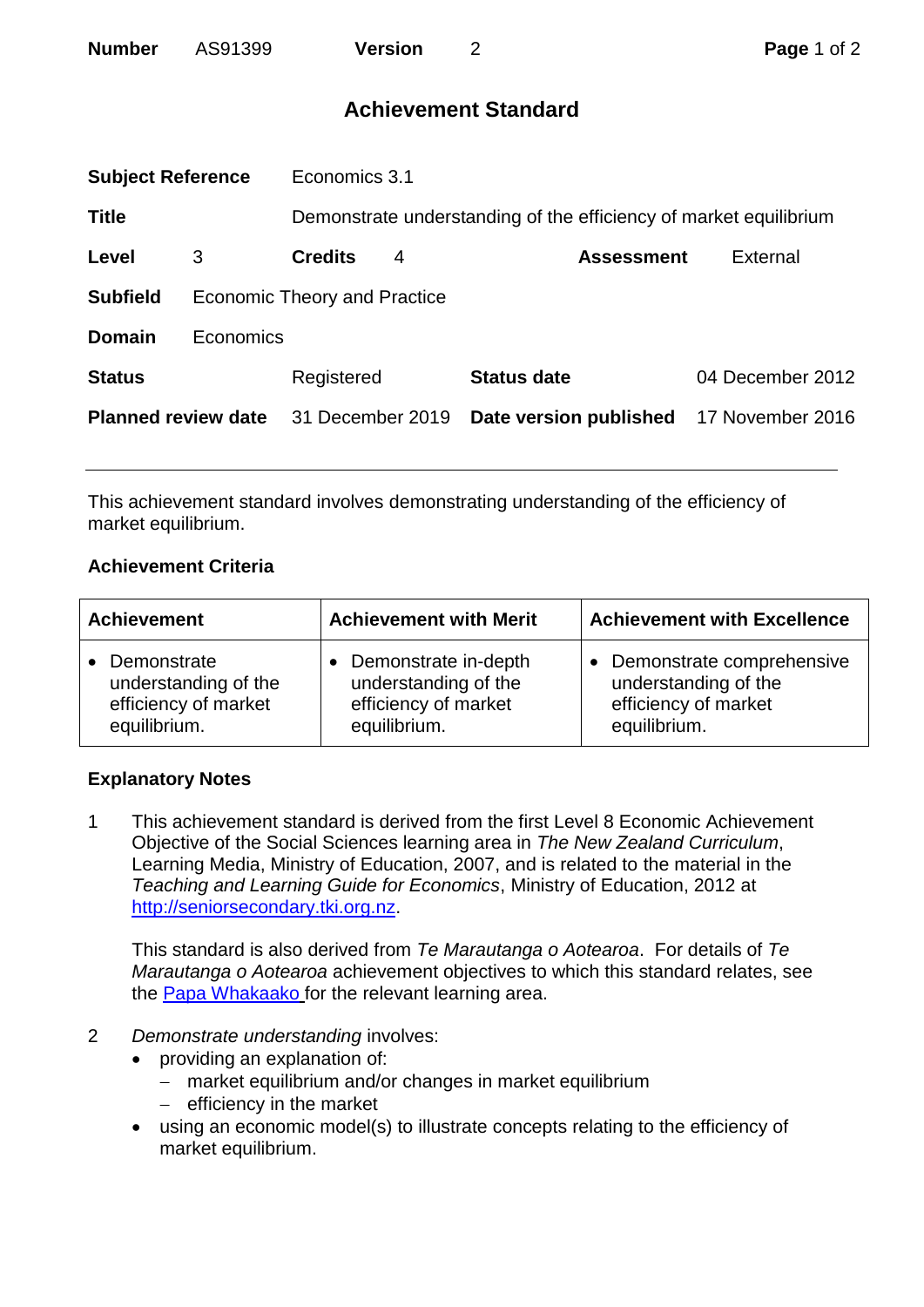# **Achievement Standard**

| <b>Subject Reference</b>   |                                     | Economics 3.1    |   |                                                                   |                  |  |
|----------------------------|-------------------------------------|------------------|---|-------------------------------------------------------------------|------------------|--|
| <b>Title</b>               |                                     |                  |   | Demonstrate understanding of the efficiency of market equilibrium |                  |  |
| Level                      | 3                                   | <b>Credits</b>   | 4 | <b>Assessment</b>                                                 | External         |  |
| <b>Subfield</b>            | <b>Economic Theory and Practice</b> |                  |   |                                                                   |                  |  |
| <b>Domain</b>              | Economics                           |                  |   |                                                                   |                  |  |
| <b>Status</b>              |                                     | Registered       |   | <b>Status date</b>                                                | 04 December 2012 |  |
| <b>Planned review date</b> |                                     | 31 December 2019 |   | Date version published                                            | 17 November 2016 |  |
|                            |                                     |                  |   |                                                                   |                  |  |

This achievement standard involves demonstrating understanding of the efficiency of market equilibrium.

## **Achievement Criteria**

| <b>Achievement</b>   | <b>Achievement with Merit</b> | <b>Achievement with Excellence</b> |  |
|----------------------|-------------------------------|------------------------------------|--|
| • Demonstrate        | • Demonstrate in-depth        | Demonstrate comprehensive          |  |
| understanding of the | understanding of the          | understanding of the               |  |
| efficiency of market | efficiency of market          | efficiency of market               |  |
| equilibrium.         | equilibrium.                  | equilibrium.                       |  |

### **Explanatory Notes**

1 This achievement standard is derived from the first Level 8 Economic Achievement Objective of the Social Sciences learning area in *The New Zealand Curriculum*, Learning Media, Ministry of Education, 2007, and is related to the material in the *Teaching and Learning Guide for Economics*, Ministry of Education, 2012 at [http://seniorsecondary.tki.org.nz.](http://seniorsecondary.tki.org.nz/)

This standard is also derived from *Te Marautanga o Aotearoa*. For details of *Te Marautanga o Aotearoa* achievement objectives to which this standard relates, see the [Papa Whakaako](http://tmoa.tki.org.nz/Te-Marautanga-o-Aotearoa/Taumata-Matauranga-a-Motu-Ka-Taea) for the relevant learning area.

- 2 *Demonstrate understanding* involves:
	- providing an explanation of:
		- market equilibrium and/or changes in market equilibrium
		- $-$  efficiency in the market
	- using an economic model(s) to illustrate concepts relating to the efficiency of market equilibrium.